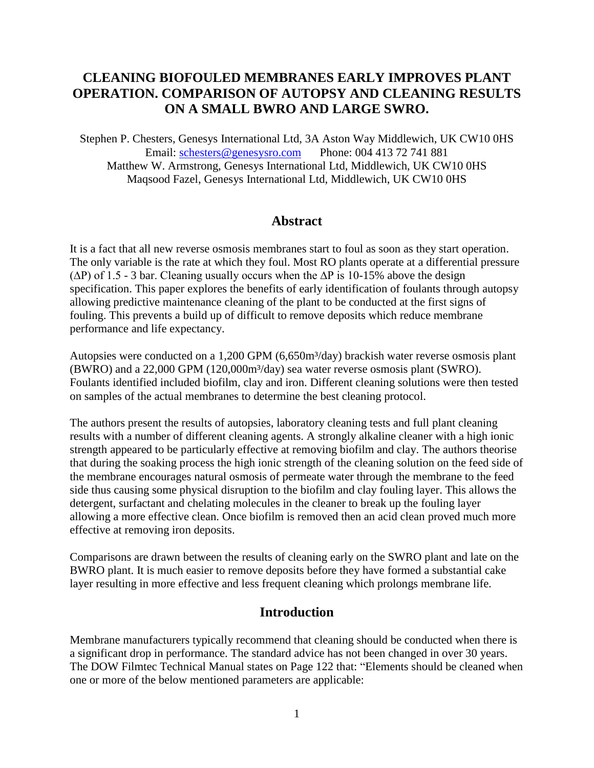## **CLEANING BIOFOULED MEMBRANES EARLY IMPROVES PLANT OPERATION. COMPARISON OF AUTOPSY AND CLEANING RESULTS ON A SMALL BWRO AND LARGE SWRO.**

Stephen P. Chesters, Genesys International Ltd, 3A Aston Way Middlewich, UK CW10 0HS Email: [schesters@genesysro.com](mailto:schesters@genesysro.com) Phone: 004 413 72 741 881 Matthew W. Armstrong, Genesys International Ltd, Middlewich, UK CW10 0HS Maqsood Fazel, Genesys International Ltd, Middlewich, UK CW10 0HS

#### **Abstract**

It is a fact that all new reverse osmosis membranes start to foul as soon as they start operation. The only variable is the rate at which they foul. Most RO plants operate at a differential pressure  $(\Delta P)$  of 1.5 - 3 bar. Cleaning usually occurs when the  $\Delta P$  is 10-15% above the design specification. This paper explores the benefits of early identification of foulants through autopsy allowing predictive maintenance cleaning of the plant to be conducted at the first signs of fouling. This prevents a build up of difficult to remove deposits which reduce membrane performance and life expectancy.

Autopsies were conducted on a 1,200 GPM (6,650m<sup>3</sup>/day) brackish water reverse osmosis plant (BWRO) and a 22,000 GPM (120,000m³/day) sea water reverse osmosis plant (SWRO). Foulants identified included biofilm, clay and iron. Different cleaning solutions were then tested on samples of the actual membranes to determine the best cleaning protocol.

The authors present the results of autopsies, laboratory cleaning tests and full plant cleaning results with a number of different cleaning agents. A strongly alkaline cleaner with a high ionic strength appeared to be particularly effective at removing biofilm and clay. The authors theorise that during the soaking process the high ionic strength of the cleaning solution on the feed side of the membrane encourages natural osmosis of permeate water through the membrane to the feed side thus causing some physical disruption to the biofilm and clay fouling layer. This allows the detergent, surfactant and chelating molecules in the cleaner to break up the fouling layer allowing a more effective clean. Once biofilm is removed then an acid clean proved much more effective at removing iron deposits.

Comparisons are drawn between the results of cleaning early on the SWRO plant and late on the BWRO plant. It is much easier to remove deposits before they have formed a substantial cake layer resulting in more effective and less frequent cleaning which prolongs membrane life.

#### **Introduction**

Membrane manufacturers typically recommend that cleaning should be conducted when there is a significant drop in performance. The standard advice has not been changed in over 30 years. The DOW Filmtec Technical Manual states on Page 122 that: "Elements should be cleaned when one or more of the below mentioned parameters are applicable: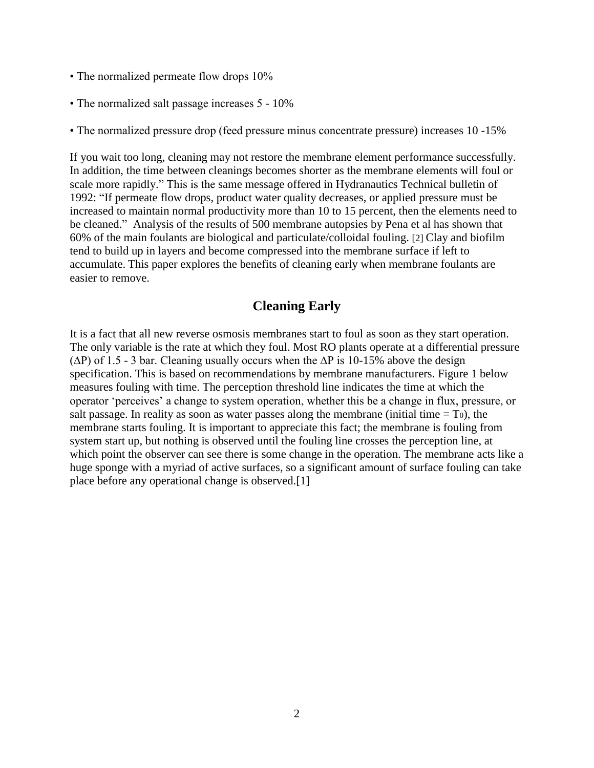- The normalized permeate flow drops  $10\%$
- The normalized salt passage increases 5 10%
- The normalized pressure drop (feed pressure minus concentrate pressure) increases 10 -15%

If you wait too long, cleaning may not restore the membrane element performance successfully. In addition, the time between cleanings becomes shorter as the membrane elements will foul or scale more rapidly." This is the same message offered in Hydranautics Technical bulletin of 1992: "If permeate flow drops, product water quality decreases, or applied pressure must be increased to maintain normal productivity more than 10 to 15 percent, then the elements need to be cleaned." Analysis of the results of 500 membrane autopsies by Pena et al has shown that 60% of the main foulants are biological and particulate/colloidal fouling. [2] Clay and biofilm tend to build up in layers and become compressed into the membrane surface if left to accumulate. This paper explores the benefits of cleaning early when membrane foulants are easier to remove.

# **Cleaning Early**

It is a fact that all new reverse osmosis membranes start to foul as soon as they start operation. The only variable is the rate at which they foul. Most RO plants operate at a differential pressure  $(\Delta P)$  of 1.5 - 3 bar. Cleaning usually occurs when the  $\Delta P$  is 10-15% above the design specification. This is based on recommendations by membrane manufacturers. Figure 1 below measures fouling with time. The perception threshold line indicates the time at which the operator 'perceives' a change to system operation, whether this be a change in flux, pressure, or salt passage. In reality as soon as water passes along the membrane (initial time  $=$  T<sub>0</sub>), the membrane starts fouling. It is important to appreciate this fact; the membrane is fouling from system start up, but nothing is observed until the fouling line crosses the perception line, at which point the observer can see there is some change in the operation. The membrane acts like a huge sponge with a myriad of active surfaces, so a significant amount of surface fouling can take place before any operational change is observed.[1]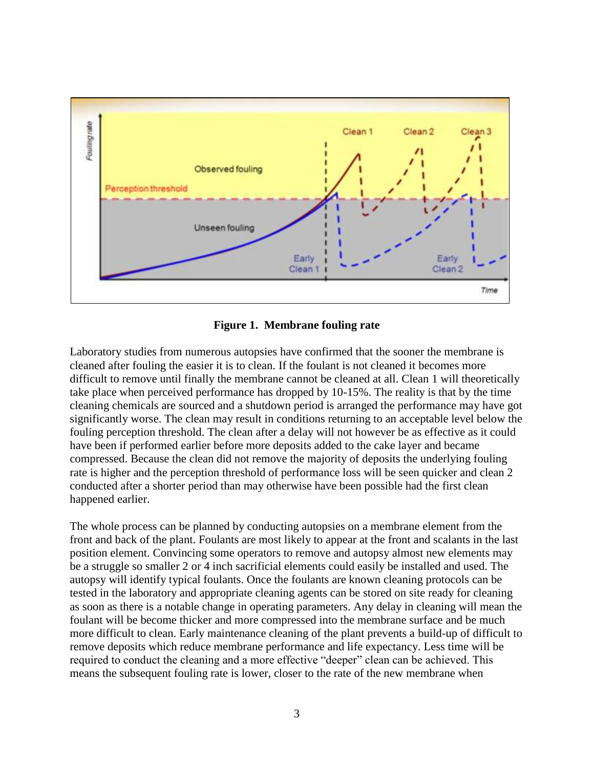



Laboratory studies from numerous autopsies have confirmed that the sooner the membrane is cleaned after fouling the easier it is to clean. If the foulant is not cleaned it becomes more difficult to remove until finally the membrane cannot be cleaned at all. Clean 1 will theoretically take place when perceived performance has dropped by 10-15%. The reality is that by the time cleaning chemicals are sourced and a shutdown period is arranged the performance may have got significantly worse. The clean may result in conditions returning to an acceptable level below the fouling perception threshold. The clean after a delay will not however be as effective as it could have been if performed earlier before more deposits added to the cake layer and became compressed. Because the clean did not remove the majority of deposits the underlying fouling rate is higher and the perception threshold of performance loss will be seen quicker and clean 2 conducted after a shorter period than may otherwise have been possible had the first clean happened earlier.

The whole process can be planned by conducting autopsies on a membrane element from the front and back of the plant. Foulants are most likely to appear at the front and scalants in the last position element. Convincing some operators to remove and autopsy almost new elements may be a struggle so smaller 2 or 4 inch sacrificial elements could easily be installed and used. The autopsy will identify typical foulants. Once the foulants are known cleaning protocols can be tested in the laboratory and appropriate cleaning agents can be stored on site ready for cleaning as soon as there is a notable change in operating parameters. Any delay in cleaning will mean the foulant will be become thicker and more compressed into the membrane surface and be much more difficult to clean. Early maintenance cleaning of the plant prevents a build-up of difficult to remove deposits which reduce membrane performance and life expectancy. Less time will be required to conduct the cleaning and a more effective "deeper" clean can be achieved. This means the subsequent fouling rate is lower, closer to the rate of the new membrane when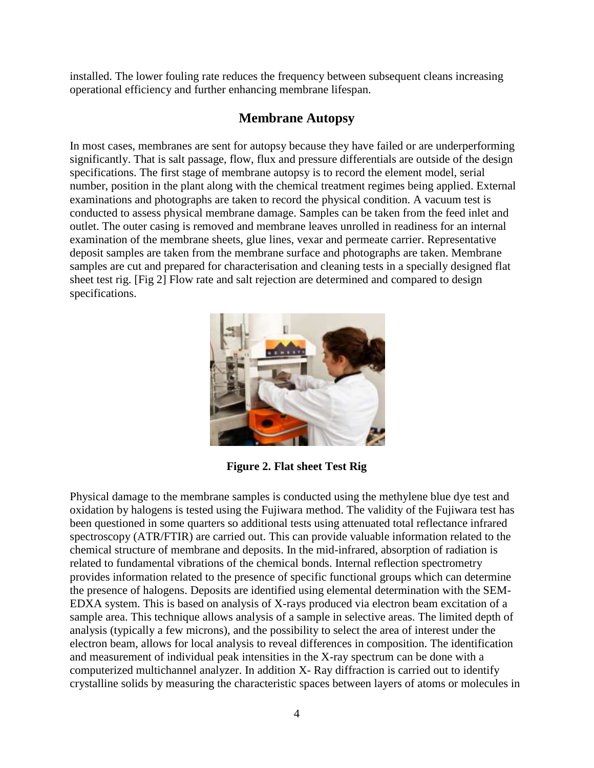installed. The lower fouling rate reduces the frequency between subsequent cleans increasing operational efficiency and further enhancing membrane lifespan.

## **Membrane Autopsy**

In most cases, membranes are sent for autopsy because they have failed or are underperforming significantly. That is salt passage, flow, flux and pressure differentials are outside of the design specifications. The first stage of membrane autopsy is to record the element model, serial number, position in the plant along with the chemical treatment regimes being applied. External examinations and photographs are taken to record the physical condition. A vacuum test is conducted to assess physical membrane damage. Samples can be taken from the feed inlet and outlet. The outer casing is removed and membrane leaves unrolled in readiness for an internal examination of the membrane sheets, glue lines, vexar and permeate carrier. Representative deposit samples are taken from the membrane surface and photographs are taken. Membrane samples are cut and prepared for characterisation and cleaning tests in a specially designed flat sheet test rig. [Fig 2] Flow rate and salt rejection are determined and compared to design specifications.



**Figure 2. Flat sheet Test Rig**

Physical damage to the membrane samples is conducted using the methylene blue dye test and oxidation by halogens is tested using the Fujiwara method. The validity of the Fujiwara test has been questioned in some quarters so additional tests using attenuated total reflectance infrared spectroscopy (ATR/FTIR) are carried out. This can provide valuable information related to the chemical structure of membrane and deposits. In the mid-infrared, absorption of radiation is related to fundamental vibrations of the chemical bonds. Internal reflection spectrometry provides information related to the presence of specific functional groups which can determine the presence of halogens. Deposits are identified using elemental determination with the SEM-EDXA system. This is based on analysis of X-rays produced via electron beam excitation of a sample area. This technique allows analysis of a sample in selective areas. The limited depth of analysis (typically a few microns), and the possibility to select the area of interest under the electron beam, allows for local analysis to reveal differences in composition. The identification and measurement of individual peak intensities in the X-ray spectrum can be done with a computerized multichannel analyzer. In addition X- Ray diffraction is carried out to identify crystalline solids by measuring the characteristic spaces between layers of atoms or molecules in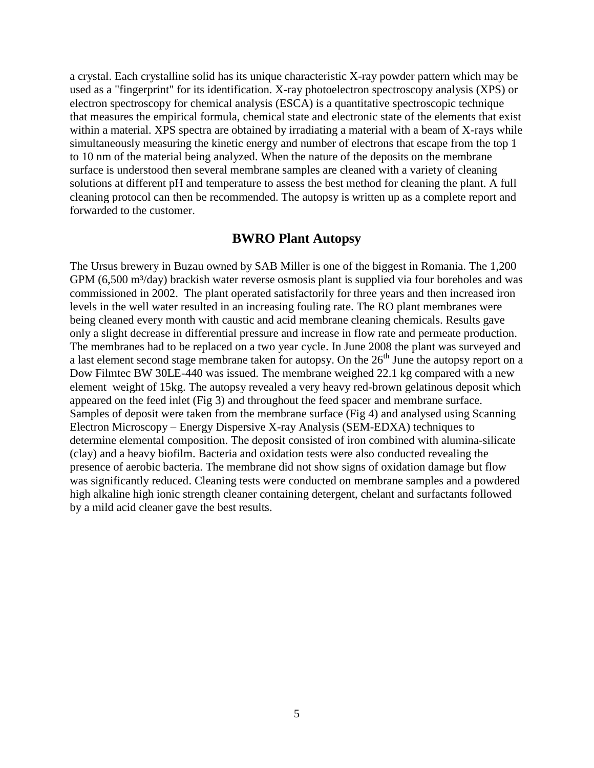a crystal. Each crystalline solid has its unique characteristic X-ray powder pattern which may be used as a "fingerprint" for its identification. X-ray photoelectron spectroscopy analysis (XPS) or electron spectroscopy for chemical analysis (ESCA) is a quantitative spectroscopic technique that measures the empirical formula, chemical state and electronic state of the elements that exist within a material. XPS spectra are obtained by irradiating a material with a beam of X-rays while simultaneously measuring the kinetic energy and number of electrons that escape from the top 1 to 10 nm of the material being analyzed. When the nature of the deposits on the membrane surface is understood then several membrane samples are cleaned with a variety of cleaning solutions at different pH and temperature to assess the best method for cleaning the plant. A full cleaning protocol can then be recommended. The autopsy is written up as a complete report and forwarded to the customer.

#### **BWRO Plant Autopsy**

The Ursus brewery in Buzau owned by SAB Miller is one of the biggest in Romania. The 1,200 GPM  $(6,500 \text{ m}^3/\text{day})$  brackish water reverse osmosis plant is supplied via four boreholes and was commissioned in 2002. The plant operated satisfactorily for three years and then increased iron levels in the well water resulted in an increasing fouling rate. The RO plant membranes were being cleaned every month with caustic and acid membrane cleaning chemicals. Results gave only a slight decrease in differential pressure and increase in flow rate and permeate production. The membranes had to be replaced on a two year cycle. In June 2008 the plant was surveyed and a last element second stage membrane taken for autopsy. On the  $26<sup>th</sup>$  June the autopsy report on a Dow Filmtec BW 30LE-440 was issued. The membrane weighed 22.1 kg compared with a new element weight of 15kg. The autopsy revealed a very heavy red-brown gelatinous deposit which appeared on the feed inlet (Fig 3) and throughout the feed spacer and membrane surface. Samples of deposit were taken from the membrane surface (Fig 4) and analysed using Scanning Electron Microscopy – Energy Dispersive X-ray Analysis (SEM-EDXA) techniques to determine elemental composition. The deposit consisted of iron combined with alumina-silicate (clay) and a heavy biofilm. Bacteria and oxidation tests were also conducted revealing the presence of aerobic bacteria. The membrane did not show signs of oxidation damage but flow was significantly reduced. Cleaning tests were conducted on membrane samples and a powdered high alkaline high ionic strength cleaner containing detergent, chelant and surfactants followed by a mild acid cleaner gave the best results.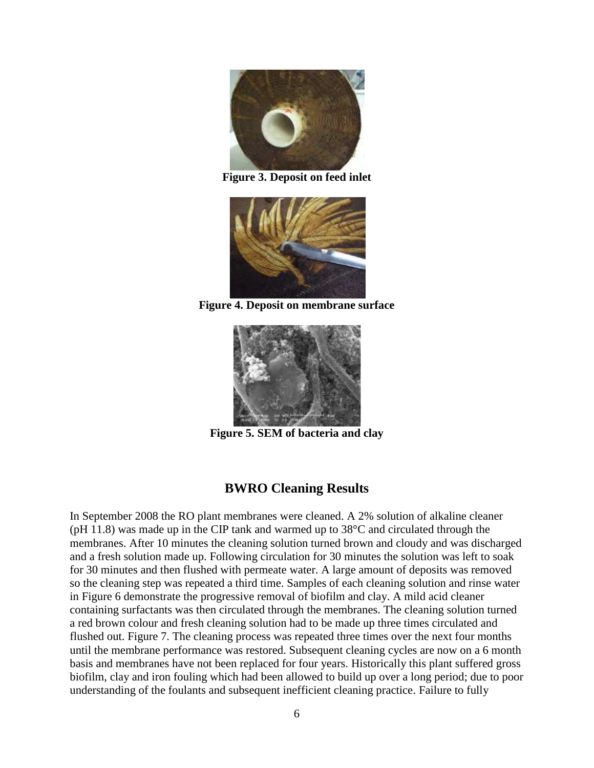

**Figure 3. Deposit on feed inlet**



**Figure 4. Deposit on membrane surface**



**Figure 5. SEM of bacteria and clay**

# **BWRO Cleaning Results**

In September 2008 the RO plant membranes were cleaned. A 2% solution of alkaline cleaner (pH 11.8) was made up in the CIP tank and warmed up to 38°C and circulated through the membranes. After 10 minutes the cleaning solution turned brown and cloudy and was discharged and a fresh solution made up. Following circulation for 30 minutes the solution was left to soak for 30 minutes and then flushed with permeate water. A large amount of deposits was removed so the cleaning step was repeated a third time. Samples of each cleaning solution and rinse water in Figure 6 demonstrate the progressive removal of biofilm and clay. A mild acid cleaner containing surfactants was then circulated through the membranes. The cleaning solution turned a red brown colour and fresh cleaning solution had to be made up three times circulated and flushed out. Figure 7. The cleaning process was repeated three times over the next four months until the membrane performance was restored. Subsequent cleaning cycles are now on a 6 month basis and membranes have not been replaced for four years. Historically this plant suffered gross biofilm, clay and iron fouling which had been allowed to build up over a long period; due to poor understanding of the foulants and subsequent inefficient cleaning practice. Failure to fully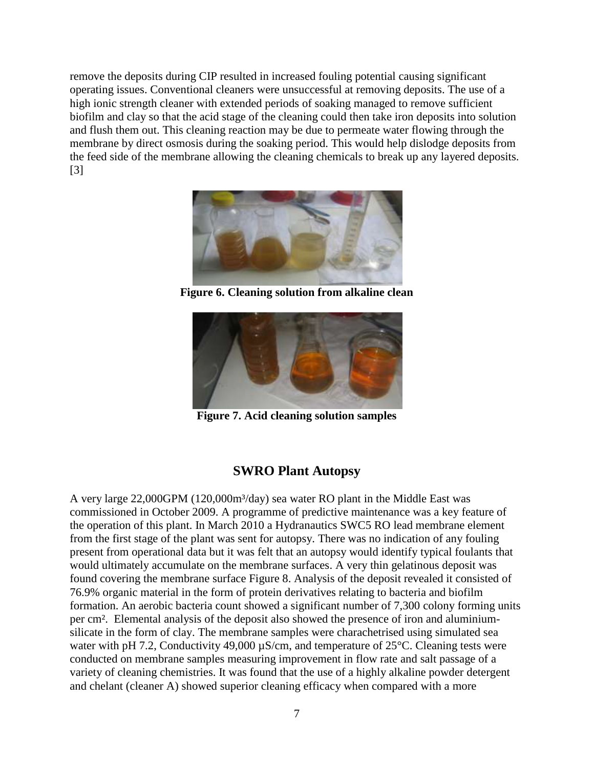remove the deposits during CIP resulted in increased fouling potential causing significant operating issues. Conventional cleaners were unsuccessful at removing deposits. The use of a high ionic strength cleaner with extended periods of soaking managed to remove sufficient biofilm and clay so that the acid stage of the cleaning could then take iron deposits into solution and flush them out. This cleaning reaction may be due to permeate water flowing through the membrane by direct osmosis during the soaking period. This would help dislodge deposits from the feed side of the membrane allowing the cleaning chemicals to break up any layered deposits. [3]



**Figure 6. Cleaning solution from alkaline clean**



**Figure 7. Acid cleaning solution samples**

# **SWRO Plant Autopsy**

A very large 22,000GPM (120,000m<sup>3</sup>/day) sea water RO plant in the Middle East was commissioned in October 2009. A programme of predictive maintenance was a key feature of the operation of this plant. In March 2010 a Hydranautics SWC5 RO lead membrane element from the first stage of the plant was sent for autopsy. There was no indication of any fouling present from operational data but it was felt that an autopsy would identify typical foulants that would ultimately accumulate on the membrane surfaces. A very thin gelatinous deposit was found covering the membrane surface Figure 8. Analysis of the deposit revealed it consisted of 76.9% organic material in the form of protein derivatives relating to bacteria and biofilm formation. An aerobic bacteria count showed a significant number of 7,300 colony forming units per cm². Elemental analysis of the deposit also showed the presence of iron and aluminiumsilicate in the form of clay. The membrane samples were charachetrised using simulated sea water with pH 7.2, Conductivity 49,000  $\mu$ S/cm, and temperature of 25°C. Cleaning tests were conducted on membrane samples measuring improvement in flow rate and salt passage of a variety of cleaning chemistries. It was found that the use of a highly alkaline powder detergent and chelant (cleaner A) showed superior cleaning efficacy when compared with a more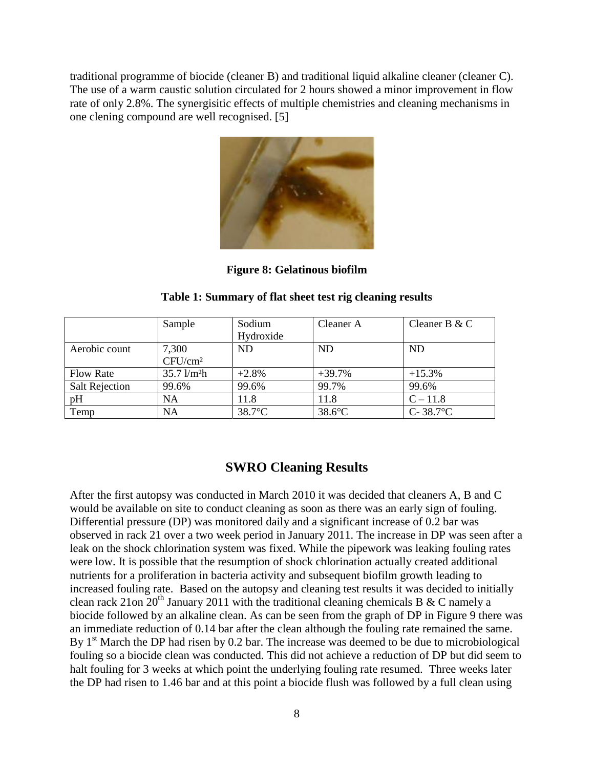traditional programme of biocide (cleaner B) and traditional liquid alkaline cleaner (cleaner C). The use of a warm caustic solution circulated for 2 hours showed a minor improvement in flow rate of only 2.8%. The synergisitic effects of multiple chemistries and cleaning mechanisms in one clening compound are well recognised. [5]



**Figure 8: Gelatinous biofilm** 

|                       | Sample              | Sodium    | Cleaner A | Cleaner B & C     |
|-----------------------|---------------------|-----------|-----------|-------------------|
|                       |                     | Hydroxide |           |                   |
| Aerobic count         | 7,300               | <b>ND</b> | <b>ND</b> | ND                |
|                       | CFU/cm <sup>2</sup> |           |           |                   |
| <b>Flow Rate</b>      | $35.7$ $1/m2h$      | $+2.8%$   | $+39.7%$  | $+15.3%$          |
| <b>Salt Rejection</b> | 99.6%               | 99.6%     | 99.7%     | 99.6%             |
| pH                    | NA                  | 11.8      | 11.8      | $C - 11.8$        |
| Temp                  | NA                  | 38.7°C    | $38.6$ °C | $C-38.7^{\circ}C$ |

#### **Table 1: Summary of flat sheet test rig cleaning results**

### **SWRO Cleaning Results**

After the first autopsy was conducted in March 2010 it was decided that cleaners A, B and C would be available on site to conduct cleaning as soon as there was an early sign of fouling. Differential pressure (DP) was monitored daily and a significant increase of 0.2 bar was observed in rack 21 over a two week period in January 2011. The increase in DP was seen after a leak on the shock chlorination system was fixed. While the pipework was leaking fouling rates were low. It is possible that the resumption of shock chlorination actually created additional nutrients for a proliferation in bacteria activity and subsequent biofilm growth leading to increased fouling rate. Based on the autopsy and cleaning test results it was decided to initially clean rack 21on  $20^{th}$  January 2011 with the traditional cleaning chemicals B & C namely a biocide followed by an alkaline clean. As can be seen from the graph of DP in Figure 9 there was an immediate reduction of 0.14 bar after the clean although the fouling rate remained the same. By  $1<sup>st</sup>$  March the DP had risen by 0.2 bar. The increase was deemed to be due to microbiological fouling so a biocide clean was conducted. This did not achieve a reduction of DP but did seem to halt fouling for 3 weeks at which point the underlying fouling rate resumed. Three weeks later the DP had risen to 1.46 bar and at this point a biocide flush was followed by a full clean using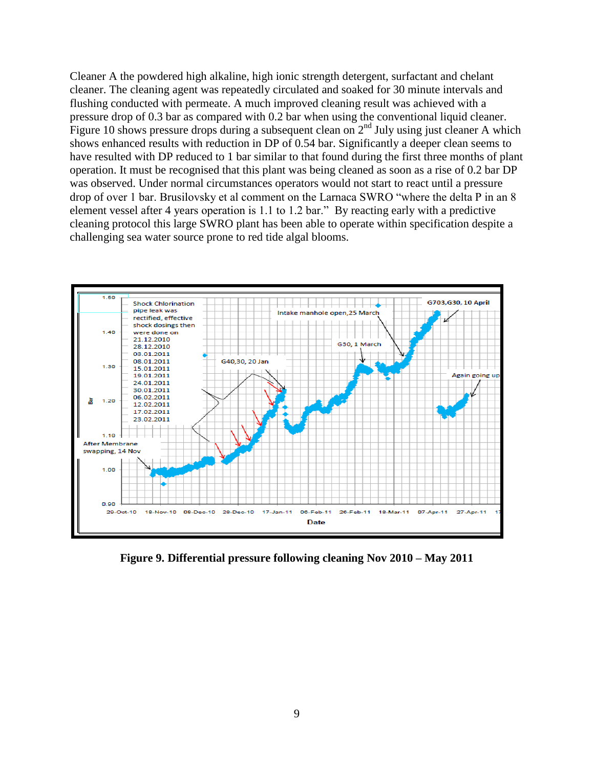Cleaner A the powdered high alkaline, high ionic strength detergent, surfactant and chelant cleaner. The cleaning agent was repeatedly circulated and soaked for 30 minute intervals and flushing conducted with permeate. A much improved cleaning result was achieved with a pressure drop of 0.3 bar as compared with 0.2 bar when using the conventional liquid cleaner. Figure 10 shows pressure drops during a subsequent clean on  $2<sup>nd</sup>$  July using just cleaner A which shows enhanced results with reduction in DP of 0.54 bar. Significantly a deeper clean seems to have resulted with DP reduced to 1 bar similar to that found during the first three months of plant operation. It must be recognised that this plant was being cleaned as soon as a rise of 0.2 bar DP was observed. Under normal circumstances operators would not start to react until a pressure drop of over 1 bar. Brusilovsky et al comment on the Larnaca SWRO "where the delta P in an 8 element vessel after 4 years operation is 1.1 to 1.2 bar." By reacting early with a predictive cleaning protocol this large SWRO plant has been able to operate within specification despite a challenging sea water source prone to red tide algal blooms.



**Figure 9. Differential pressure following cleaning Nov 2010 – May 2011**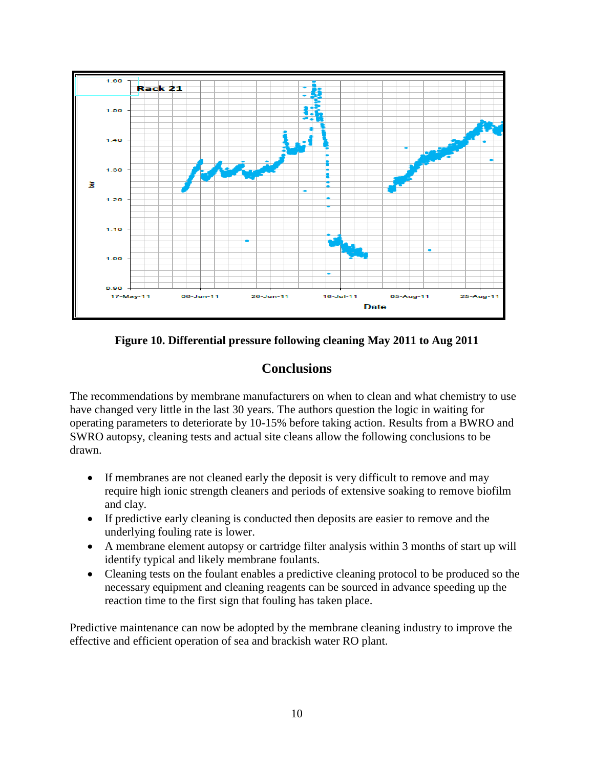

**Figure 10. Differential pressure following cleaning May 2011 to Aug 2011**

# **Conclusions**

The recommendations by membrane manufacturers on when to clean and what chemistry to use have changed very little in the last 30 years. The authors question the logic in waiting for operating parameters to deteriorate by 10-15% before taking action. Results from a BWRO and SWRO autopsy, cleaning tests and actual site cleans allow the following conclusions to be drawn.

- If membranes are not cleaned early the deposit is very difficult to remove and may require high ionic strength cleaners and periods of extensive soaking to remove biofilm and clay.
- If predictive early cleaning is conducted then deposits are easier to remove and the underlying fouling rate is lower.
- A membrane element autopsy or cartridge filter analysis within 3 months of start up will identify typical and likely membrane foulants.
- Cleaning tests on the foulant enables a predictive cleaning protocol to be produced so the necessary equipment and cleaning reagents can be sourced in advance speeding up the reaction time to the first sign that fouling has taken place.

Predictive maintenance can now be adopted by the membrane cleaning industry to improve the effective and efficient operation of sea and brackish water RO plant.